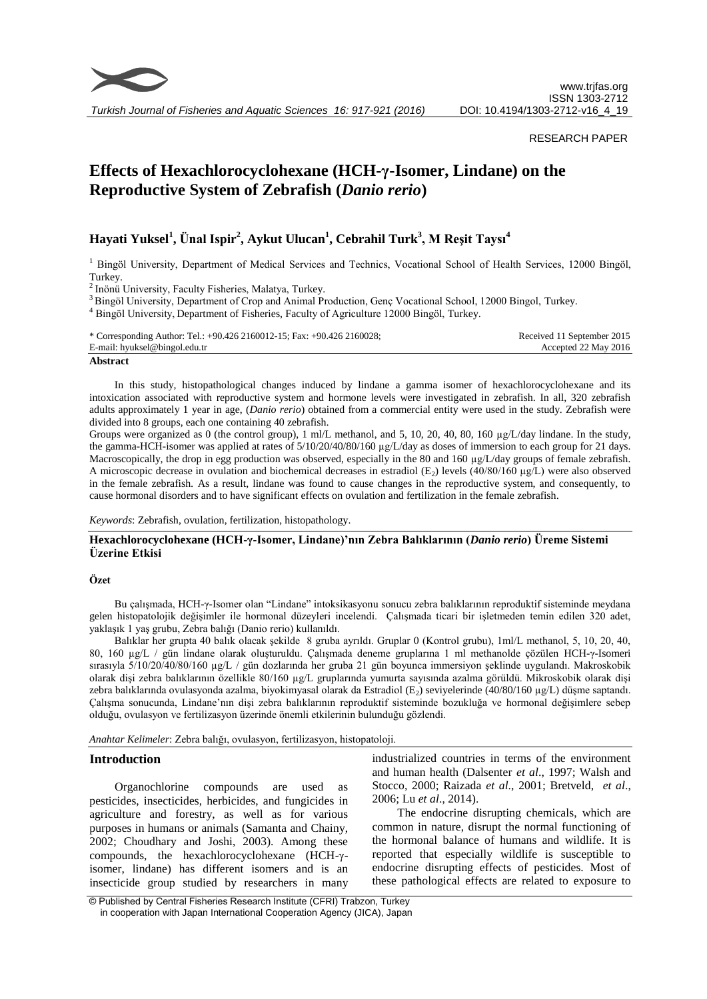

*Turkish Journal of Fisheries and Aquatic Sciences 16: 917-921 (2016)*

#### RESEARCH PAPER

# **Effects of Hexachlorocyclohexane (HCH-γ-Isomer, Lindane) on the Reproductive System of Zebrafish (***Danio rerio***)**

# **Hayati Yuksel<sup>1</sup> , Ünal Ispir<sup>2</sup> , Aykut Ulucan<sup>1</sup> , Cebrahil Turk<sup>3</sup> , M Reşit Taysı<sup>4</sup>**

<sup>1</sup> Bingöl University, Department of Medical Services and Technics, Vocational School of Health Services, 12000 Bingöl, Turkey.

<sup>2</sup> Inönü University, Faculty Fisheries, Malatya, Turkey.

<sup>3</sup> Bingöl University, Department of Crop and Animal Production, Genç Vocational School, 12000 Bingol, Turkey.

<sup>4</sup> Bingöl University, Department of Fisheries, Faculty of Agriculture 12000 Bingöl, Turkey.

| * Corresponding Author: Tel.: +90.426 2160012-15; Fax: +90.426 2160028; | Received 11 September 2015 |
|-------------------------------------------------------------------------|----------------------------|
| E-mail: hyuksel@bingol.edu.tr                                           | Accepted 22 May 2016       |
|                                                                         |                            |

#### **Abstract**

In this study, histopathological changes induced by lindane a gamma isomer of hexachlorocyclohexane and its intoxication associated with reproductive system and hormone levels were investigated in zebrafish. In all, 320 zebrafish adults approximately 1 year in age, (*Danio rerio*) obtained from a commercial entity were used in the study. Zebrafish were divided into 8 groups, each one containing 40 zebrafish*.*

Groups were organized as 0 (the control group), 1 ml/L methanol, and 5, 10, 20, 40, 80, 160 µg/L/day lindane. In the study, the gamma-HCH-isomer was applied at rates of  $5/10/20/40/80/160$  µg/L/day as doses of immersion to each group for 21 days. Macroscopically, the drop in egg production was observed, especially in the 80 and 160 µg/L/day groups of female zebrafish. A microscopic decrease in ovulation and biochemical decreases in estradiol  $(E_2)$  levels  $(40/80/160 \text{ µg/L})$  were also observed in the female zebrafish*.* As a result, lindane was found to cause changes in the reproductive system, and consequently, to cause hormonal disorders and to have significant effects on ovulation and fertilization in the female zebrafish*.*

*Keywords*: Zebrafish, ovulation, fertilization, histopathology.

# **Hexachlorocyclohexane (HCH-γ-Isomer, Lindane)'nın Zebra Balıklarının (***Danio rerio***) Üreme Sistemi Üzerine Etkisi**

#### **Özet**

Bu çalışmada, HCH-γ-Isomer olan "Lindane" intoksikasyonu sonucu zebra balıklarının reproduktif sisteminde meydana gelen histopatolojik değişimler ile hormonal düzeyleri incelendi. Çalışmada ticari bir işletmeden temin edilen 320 adet, yaklaşık 1 yaş grubu, Zebra balığı (Danio rerio) kullanıldı.

Balıklar her grupta 40 balık olacak şekilde 8 gruba ayrıldı. Gruplar 0 (Kontrol grubu), 1ml/L methanol, 5, 10, 20, 40, 80, 160 µg/L / gün lindane olarak oluşturuldu. Çalışmada deneme gruplarına 1 ml methanolde çözülen HCH-γ-Isomeri sırasıyla 5/10/20/40/80/160 µg/L / gün dozlarında her gruba 21 gün boyunca immersiyon şeklinde uygulandı. Makroskobik olarak dişi zebra balıklarının özellikle 80/160 µg/L gruplarında yumurta sayısında azalma görüldü. Mikroskobik olarak dişi zebra balıklarında ovulasyonda azalma, biyokimyasal olarak da Estradiol (E<sub>2</sub>) seviyelerinde (40/80/160 µg/L) düşme saptandı. Çalışma sonucunda, Lindane'nın dişi zebra balıklarının reproduktif sisteminde bozukluğa ve hormonal değişimlere sebep olduğu, ovulasyon ve fertilizasyon üzerinde önemli etkilerinin bulunduğu gözlendi.

*Anahtar Kelimeler*: Zebra balığı, ovulasyon, fertilizasyon, histopatoloji.

# **Introduction**

Organochlorine compounds are used as pesticides, insecticides, herbicides, and fungicides in agriculture and forestry, as well as for various purposes in humans or animals (Samanta and Chainy, 2002; Choudhary and Joshi, 2003). Among these compounds, the hexachlorocyclohexane (HCH-γisomer, lindane) has different isomers and is an insecticide group studied by researchers in many industrialized countries in terms of the environment and human health (Dalsenter *et al*., 1997; Walsh and Stocco, 2000; Raizada *et al*., 2001; Bretveld, *et al*., 2006; Lu *et al*., 2014).

The endocrine disrupting chemicals, which are common in nature, disrupt the normal functioning of the hormonal balance of humans and wildlife. It is reported that especially wildlife is susceptible to endocrine disrupting effects of pesticides. Most of these pathological effects are related to exposure to

© Published by Central Fisheries Research Institute (CFRI) Trabzon, Turkey in cooperation with Japan International Cooperation Agency (JICA), Japan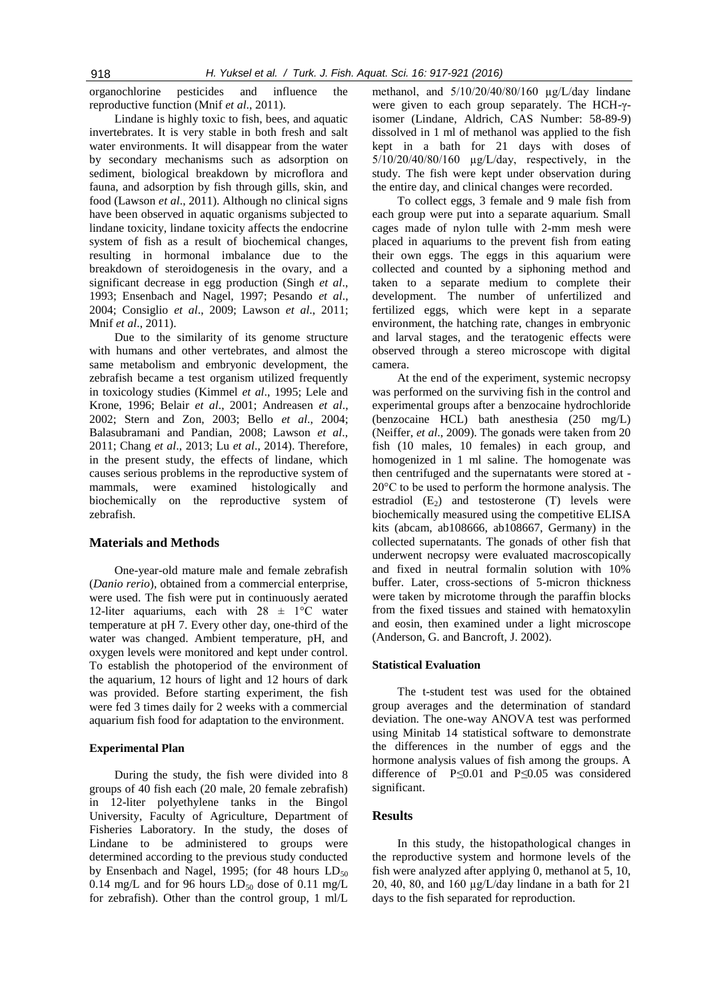organochlorine pesticides and influence the reproductive function (Mnif *et al*., 2011).

Lindane is highly toxic to fish, bees, and aquatic invertebrates. It is very stable in both fresh and salt water environments. It will disappear from the water by secondary mechanisms such as adsorption on sediment, biological breakdown by microflora and fauna, and adsorption by fish through gills, skin, and food (Lawson *et al*., 2011). Although no clinical signs have been observed in aquatic organisms subjected to lindane toxicity, lindane toxicity affects the endocrine system of fish as a result of biochemical changes, resulting in hormonal imbalance due to the breakdown of steroidogenesis in the ovary, and a significant decrease in egg production (Singh *et al*., 1993; Ensenbach and Nagel, 1997; Pesando *et al*., 2004; Consiglio *et al*., 2009; Lawson *et al*., 2011; Mnif *et al*., 2011).

Due to the similarity of its genome structure with humans and other vertebrates, and almost the same metabolism and embryonic development, the zebrafish became a test organism utilized frequently in toxicology studies (Kimmel *et al*., 1995; Lele and Krone, 1996; Belair *et al*., 2001; Andreasen *et al*., 2002; Stern and Zon, 2003; Bello *et al*., 2004; Balasubramani and Pandian, 2008; Lawson *et al*., 2011; Chang *et al*., 2013; Lu *et al*., 2014). Therefore, in the present study, the effects of lindane, which causes serious problems in the reproductive system of mammals, were examined histologically and biochemically on the reproductive system of zebrafish.

# **Materials and Methods**

One-year-old mature male and female zebrafish (*Danio rerio*), obtained from a commercial enterprise, were used. The fish were put in continuously aerated 12-liter aquariums, each with  $28 \pm 1$ °C water temperature at pH 7. Every other day, one-third of the water was changed. Ambient temperature, pH, and oxygen levels were monitored and kept under control. To establish the photoperiod of the environment of the aquarium, 12 hours of light and 12 hours of dark was provided. Before starting experiment, the fish were fed 3 times daily for 2 weeks with a commercial aquarium fish food for adaptation to the environment.

#### **Experimental Plan**

During the study, the fish were divided into 8 groups of 40 fish each (20 male, 20 female zebrafish) in 12-liter polyethylene tanks in the Bingol University, Faculty of Agriculture, Department of Fisheries Laboratory. In the study, the doses of Lindane to be administered to groups were determined according to the previous study conducted by Ensenbach and Nagel, 1995; (for 48 hours  $LD_{50}$ 0.14 mg/L and for 96 hours  $LD_{50}$  dose of 0.11 mg/L for zebrafish). Other than the control group, 1 ml/L

methanol, and 5/10/20/40/80/160 µg/L/day lindane were given to each group separately. The HCH-γisomer (Lindane, Aldrich, CAS Number: 58-89-9) dissolved in 1 ml of methanol was applied to the fish kept in a bath for 21 days with doses of  $5/10/20/40/80/160$   $\mu$ g/L/day, respectively, in the study. The fish were kept under observation during the entire day, and clinical changes were recorded.

To collect eggs, 3 female and 9 male fish from each group were put into a separate aquarium. Small cages made of nylon tulle with 2-mm mesh were placed in aquariums to the prevent fish from eating their own eggs. The eggs in this aquarium were collected and counted by a siphoning method and taken to a separate medium to complete their development. The number of unfertilized and fertilized eggs, which were kept in a separate environment, the hatching rate, changes in embryonic and larval stages, and the teratogenic effects were observed through a stereo microscope with digital camera.

At the end of the experiment, systemic necropsy was performed on the surviving fish in the control and experimental groups after a benzocaine hydrochloride (benzocaine HCL) bath anesthesia (250 mg/L) (Neiffer, *et al*., 2009). The gonads were taken from 20 fish (10 males, 10 females) in each group, and homogenized in 1 ml saline. The homogenate was then centrifuged and the supernatants were stored at - 20°C to be used to perform the hormone analysis. The estradiol  $(E_2)$  and testosterone  $(T)$  levels were biochemically measured using the competitive ELISA kits (abcam, ab108666, ab108667, Germany) in the collected supernatants. The gonads of other fish that underwent necropsy were evaluated macroscopically and fixed in neutral formalin solution with 10% buffer. Later, cross-sections of 5-micron thickness were taken by microtome through the paraffin blocks from the fixed tissues and stained with hematoxylin and eosin, then examined under a light microscope (Anderson, G. and Bancroft, J. 2002).

#### **Statistical Evaluation**

The t-student test was used for the obtained group averages and the determination of standard deviation. The one-way ANOVA test was performed using Minitab 14 statistical software to demonstrate the differences in the number of eggs and the hormone analysis values of fish among the groups. A difference of P*≤*0.01 and P*≤*0.05 was considered significant.

# **Results**

In this study, the histopathological changes in the reproductive system and hormone levels of the fish were analyzed after applying 0, methanol at 5, 10, 20, 40, 80, and 160  $\mu$ g/L/day lindane in a bath for 21 days to the fish separated for reproduction.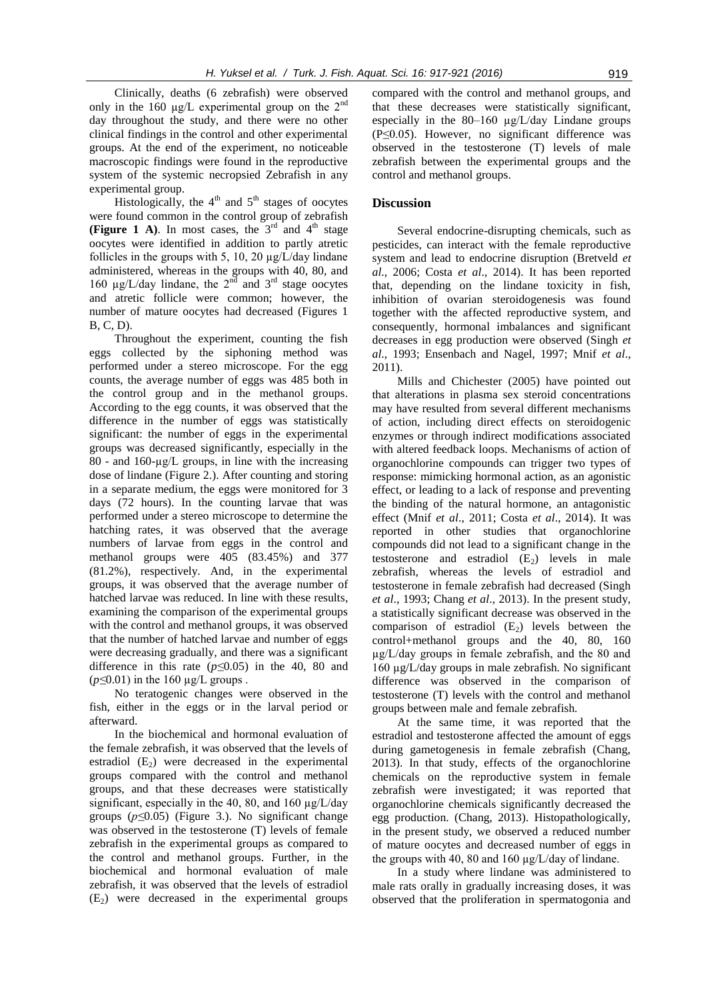Clinically, deaths (6 zebrafish) were observed only in the 160  $\mu$ g/L experimental group on the 2<sup>nd</sup> day throughout the study, and there were no other clinical findings in the control and other experimental groups. At the end of the experiment, no noticeable macroscopic findings were found in the reproductive system of the systemic necropsied Zebrafish in any experimental group.

Histologically, the  $4<sup>th</sup>$  and  $5<sup>th</sup>$  stages of oocytes were found common in the control group of zebrafish **(Figure 1 A).** In most cases, the  $3<sup>rd</sup>$  and  $4<sup>th</sup>$  stage oocytes were identified in addition to partly atretic follicles in the groups with 5, 10, 20  $\mu$ g/L/day lindane administered, whereas in the groups with 40, 80, and 160  $\mu$ g/L/day lindane, the 2<sup>nd</sup> and 3<sup>rd</sup> stage oocytes and atretic follicle were common; however, the number of mature oocytes had decreased (Figures 1 B, C, D).

Throughout the experiment, counting the fish eggs collected by the siphoning method was performed under a stereo microscope. For the egg counts, the average number of eggs was 485 both in the control group and in the methanol groups. According to the egg counts, it was observed that the difference in the number of eggs was statistically significant: the number of eggs in the experimental groups was decreased significantly, especially in the 80 - and  $160$ - $\mu$ g/L groups, in line with the increasing dose of lindane (Figure 2.). After counting and storing in a separate medium, the eggs were monitored for 3 days (72 hours). In the counting larvae that was performed under a stereo microscope to determine the hatching rates, it was observed that the average numbers of larvae from eggs in the control and methanol groups were 405 (83.45%) and 377 (81.2%), respectively. And, in the experimental groups, it was observed that the average number of hatched larvae was reduced. In line with these results, examining the comparison of the experimental groups with the control and methanol groups, it was observed that the number of hatched larvae and number of eggs were decreasing gradually, and there was a significant difference in this rate (*p≤*0.05) in the 40, 80 and (*p≤*0.01) in the 160 µg/L groups .

No teratogenic changes were observed in the fish, either in the eggs or in the larval period or afterward.

In the biochemical and hormonal evaluation of the female zebrafish, it was observed that the levels of estradiol  $(E_2)$  were decreased in the experimental groups compared with the control and methanol groups, and that these decreases were statistically significant, especially in the 40, 80, and 160  $\mu$ g/L/day groups (*p≤*0.05) (Figure 3.). No significant change was observed in the testosterone (T) levels of female zebrafish in the experimental groups as compared to the control and methanol groups. Further, in the biochemical and hormonal evaluation of male zebrafish, it was observed that the levels of estradiol  $(E_2)$  were decreased in the experimental groups

compared with the control and methanol groups, and that these decreases were statistically significant, especially in the 80–160 µg/L/day Lindane groups (P≤0.05). However, no significant difference was observed in the testosterone (T) levels of male zebrafish between the experimental groups and the control and methanol groups.

# **Discussion**

Several endocrine-disrupting chemicals, such as pesticides, can interact with the female reproductive system and lead to endocrine disruption (Bretveld *et al*., 2006; Costa *et al*., 2014). It has been reported that, depending on the lindane toxicity in fish, inhibition of ovarian steroidogenesis was found together with the affected reproductive system, and consequently, hormonal imbalances and significant decreases in egg production were observed (Singh *et al*., 1993; Ensenbach and Nagel, 1997; Mnif *et al*., 2011).

Mills and Chichester (2005) have pointed out that alterations in plasma sex steroid concentrations may have resulted from several different mechanisms of action, including direct effects on steroidogenic enzymes or through indirect modifications associated with altered feedback loops. Mechanisms of action of organochlorine compounds can trigger two types of response: mimicking hormonal action, as an agonistic effect, or leading to a lack of response and preventing the binding of the natural hormone, an antagonistic effect (Mnif *et al*., 2011; Costa *et al*., 2014). It was reported in other studies that organochlorine compounds did not lead to a significant change in the testosterone and estradiol  $(E_2)$  levels in male zebrafish, whereas the levels of estradiol and testosterone in female zebrafish had decreased (Singh *et al*., 1993; Chang *et al*., 2013). In the present study, a statistically significant decrease was observed in the comparison of estradiol  $(E_2)$  levels between the control+methanol groups and the 40, 80, 160 µg/L/day groups in female zebrafish, and the 80 and 160 µg/L/day groups in male zebrafish*.* No significant difference was observed in the comparison of testosterone (T) levels with the control and methanol groups between male and female zebrafish*.*

At the same time, it was reported that the estradiol and testosterone affected the amount of eggs during gametogenesis in female zebrafish (Chang, 2013). In that study, effects of the organochlorine chemicals on the reproductive system in female zebrafish were investigated; it was reported that organochlorine chemicals significantly decreased the egg production. (Chang, 2013). Histopathologically, in the present study, we observed a reduced number of mature oocytes and decreased number of eggs in the groups with 40, 80 and 160  $\mu$ g/L/day of lindane.

In a study where lindane was administered to male rats orally in gradually increasing doses, it was observed that the proliferation in spermatogonia and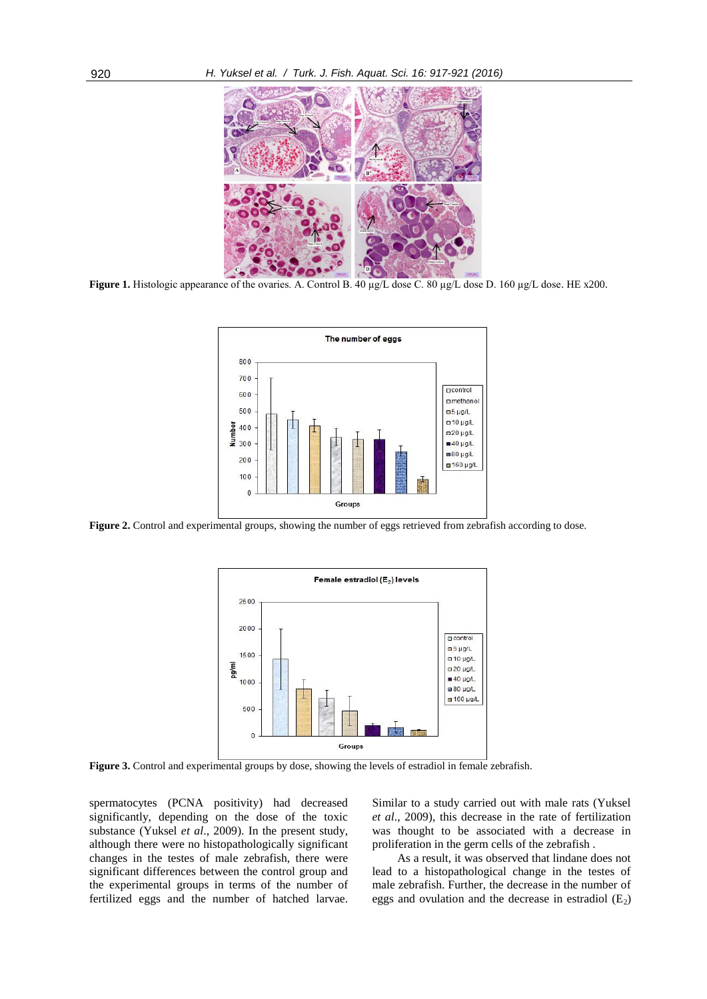

**Figure 1.** Histologic appearance of the ovaries. A. Control B. 40 µg/L dose C. 80 µg/L dose D. 160 µg/L dose. HE x200.



**Figure 2.** Control and experimental groups, showing the number of eggs retrieved from zebrafish according to dose.



**Figure 3.** Control and experimental groups by dose, showing the levels of estradiol in female zebrafish.

spermatocytes (PCNA positivity) had decreased significantly, depending on the dose of the toxic substance (Yuksel *et al*., 2009). In the present study, although there were no histopathologically significant changes in the testes of male zebrafish, there were significant differences between the control group and the experimental groups in terms of the number of fertilized eggs and the number of hatched larvae. Similar to a study carried out with male rats (Yuksel *et al*., 2009), this decrease in the rate of fertilization was thought to be associated with a decrease in proliferation in the germ cells of the zebrafish .

As a result, it was observed that lindane does not lead to a histopathological change in the testes of male zebrafish. Further, the decrease in the number of eggs and ovulation and the decrease in estradiol  $(E_2)$